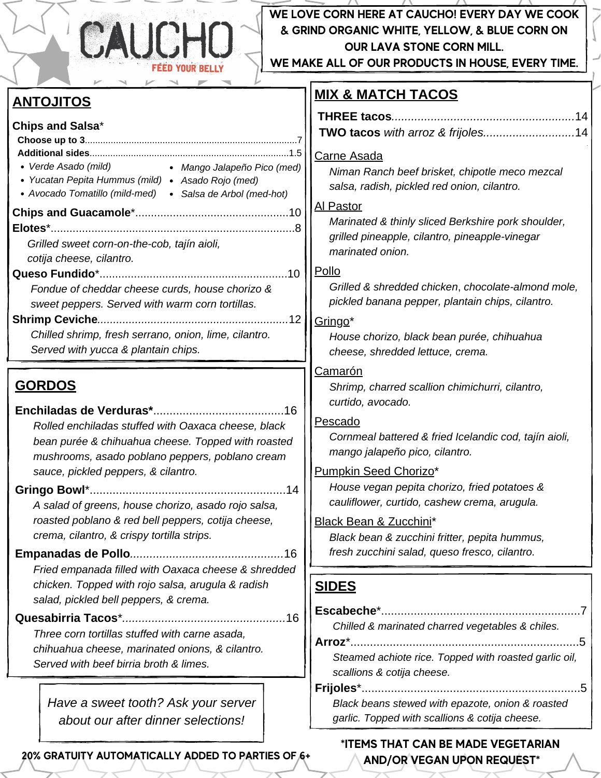

## **WE LOVE CORN HERE AT CAUCHO! EVERY DAY WE COOK & GRIND ORGANIC WHITE, YELLOW, & BLUE CORN ON OUR LAVA STONE CORN MILL.**

**WE MAKE ALL OF OUR PRODUCTS IN HOUSE, EVERY TIME.**

## *Verde Asado (mild) Yucatan Pepita Hummus (mild) Asado Rojo (med) Avocado Tomatillo (mild-med) Salsa de Arbol (med-hot)* **ANTOJITOS Chips and Salsa**\* **Choose up to 3**..................................................................................7 **Additional sides**.............................................................................1.5 **Chips and Guacamole**\*.................................................10 **Elotes**\*..............................................................................8 *Grilled sweet corn-on-the-cob, tajín aioli, cotija cheese, cilantro.* **Queso Fundido**\*............................................................10 *Fondue of cheddar cheese curds, house chorizo & sweet peppers. Served with warm corn tortillas.* **Shrimp Ceviche***.............................................................*12 *Chilled shrimp, fresh serrano, onion, lime, cilantro. Served with yucca & plantain chips.* **SIDES** *scallions & cotija cheese.* Carne Asada Al Pastor *marinated onion.* Pollo Gringo\* Camarón *curtido, avocado.* Pescado Pumpkin Seed Chorizo\* Black Bean & Zucchini\* **GORDOS Enchiladas de Verduras\***........................................16 *Rolled enchiladas stuffed with Oaxaca cheese, black bean purée & chihuahua cheese. Topped with roasted mushrooms, asado poblano peppers, poblano cream sauce, pickled peppers, & cilantro.* **Gringo Bowl**\*............................................................14 *A salad of greens, house chorizo, asado rojo salsa, roasted poblano & red bell peppers, cotija cheese, crema, cilantro, & crispy tortilla strips.* **Empanadas de Pollo***...............................................*16 *Fried empanada filled with Oaxaca cheese & shredded chicken. Topped with rojo salsa, arugula & radish salad, pickled bell peppers, & crema.* **Quesabirria Tacos**\**..................................................*16 *Three corn tortillas stuffed with carne asada, chihuahua cheese, marinated onions, & cilantro. Served with beef birria broth & limes. Mango Jalapeño Pico (med) Have a sweet tooth? Ask your server about our after dinner selections!*

**20% GRATUITY AUTOMATICALLY ADDED TO PARTIES OF 6+**

## **MIX & MATCH TACOS**

*.*

*Niman Ranch beef brisket, chipotle meco mezcal salsa, radish, pickled red onion, cilantro.*

*Marinated & thinly sliced Berkshire pork shoulder, grilled pineapple, cilantro, pineapple-vinegar*

*Grilled & shredded chicken*, *chocolate-almond mole, pickled banana pepper, plantain chips, cilantro.*

*House chorizo, black bean purée, chihuahua cheese, shredded lettuce, crema.*

*Shrimp, charred scallion chimichurri, cilantro,*

*Cornmeal battered & fried Icelandic cod, tajín aioli, mango jalapeño pico, cilantro.*

*House vegan pepita chorizo, fried potatoes & cauliflower, curtido, cashew crema, arugula.*

*Black bean & zucchini fritter, pepita hummus, fresh zucchini salad, queso fresco, cilantro.*

*Steamed achiote rice. Topped with roasted garlic oil,*

**Frijoles**\*...................................................................5 *Black beans stewed with epazote, onion & roasted garlic. Topped with scallions & cotija cheese.*

## \***ITEMS THAT CAN BE MADE VEGETARIAN AND/OR VEGAN UPON REQUEST**\*